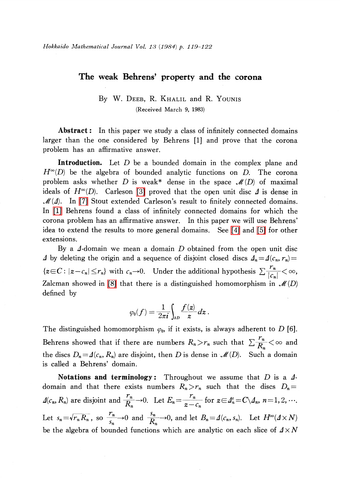## The weak Behrens' property and the corona

## By W. DEEB, R. KHALIL and R. Younis (Received March 9, 1983)

Abstract: In this paper we study a class of infinitely connected domains larger than the one considered by Behrens [1] and prove that the corona problem has an affirmative answer.

Introduction. Let D be a bounded domain in the complex plane and  $H^{\infty}(D)$  be the algebra of bounded analytic functions on D. The corona problem asks whether D is weak\* dense in the space  $\mathcal{M} (D)$  of maximal ideals of  $H^{\infty}(D)$ . Carleson [\[3\]](#page-3-0) proved that the open unit disc  $\varDelta$  is dense in  $\mathscr{M}(\varDelta)$ . In [\[7\]](#page-3-1) Stout extended Carleson's result to finitely connected domains. In [\[1\]](#page-3-2) Behrens found a class of infinitely connected domains for which the corona problem has an affirmative answer. In this paper we will use Behrens' idea to extend the results to more general domains. See [\[4\]](#page-3-3) and [\[5\]](#page-3-4) for other extensions.

By a  $\varDelta$ -domain we mean a domain  $D$  obtained from the open unit disc  $\Delta$  by deleting the origin and a sequence of disjoint closed discs  $\Delta_{n}=\Delta(c_{n}, r_{n})=$  $\{z\in C:|z-c_{n}|\leq r_{n}\}$  with  $c_{n}\rightarrow 0$ . Under the additional hypothesis  $\sum\frac{r_{n}}{|c_{n}|}<\infty$ , Zalcman showed in [\[8\]](#page-3-5) that there is a distinguished homomorphism in  $\mathcal{M}(D)$ defined by

$$
\varphi_0(f) = \frac{1}{2\pi i} \int_{\partial D} \frac{f(z)}{z} dz.
$$

The distinguished homomorphism  $\varphi_{0}$ , if it exists, is always adherent to D[6]. Behrens showed that if there are numbers  $R_{n}>r_{n}$  such that  $\sum\frac{r_{n}}{R_{n}}<\infty$  and the discs  $D_{n}\!=\! \varDelta(c_{n}, R_{n})$  are disjoint, then  $D$  is dense in  $\mathscr{M}(D)$ . Such a domain is called a Behrens' domain.

Notations and terminology: Throughout we assume that  $D$  is a  $\Delta$ domain and that there exists numbers  $R_{n}>r_{n}$  such that the discs  $D_{n}=$  $\Delta(c_{n}, R_{n})$  are disjoint and  $\frac{r_{n}}{R}\rightarrow 0$ . Let  $E_{n} = \frac{r_{n}}{R}$  for  $z \in \Delta_{n}^{c} = C\setminus \Delta_{n}$ ,  $n = 1, 2, \cdots$ . Let  $s_{n}=\sqrt{r_{n}R_{n}}$ , so  $\frac{r_{n}}{s}\rightarrow 0$  and  $\frac{s_{n}}{R}\rightarrow 0$ , and let  $B_{n}=\Delta(c_{n}, s_{n})$ . Let  $H^{\infty}(\Delta\times N)$ be the algebra of bounded functions which are analytic on each slice of  $\Delta\times N$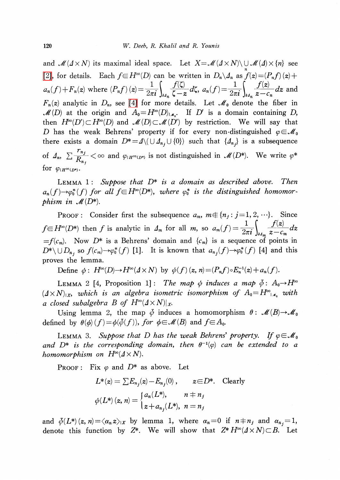and  $\mathcal{M}(\Delta\times N)$  its maximal ideal space. Let  $X=\mathcal{M}(\Delta\times N)\setminus \cup \mathcal{M}(\Delta)\times\{n\}$  see [\[2\],](#page-3-6) for details. Each  $f\in H^{\infty}(D)$  can be written in  $D_{n}\setminus A_{n}$  as  $f(z)=(P_{n}f)(z)+$  $a_{n}(f) + F_{n}(z)$  where  $(P_{n}f)(z) = \frac{1}{2\pi i}\left\{\frac{1}{z-z}d\zeta,\ a_{n}(f)= \frac{1}{2\pi i}\right\}$   $\frac{1}{z-z}dz$  and  $F_{n}(z)$  analytic in  $D_{n}$ , see [\[4\]](#page-3-3) for more details. Let  $\mathcal{M}_{0}$  denote the fiber in  $\mathcal{M}(D)$  at the origin and  $A_{0}=H^{\infty}(D)_{I,\mathbf{z}_0}$ . If D' is a domain containing D, then  $H^{\infty}(D')\subset H^{\infty}(D)$  and  $\mathcal{M}(D)\subset \mathcal{M}(D')$  by restriction. We will say that D has the weak Behrens' property if for every non-distinguished  $\varphi\in \mathscr{M}_{0}$ there exists a domain  $D^{*}=\Delta\setminus (\bigcup\Delta_{n_{j}}\cup\{0\})$  such that  $\{\Delta_{n_{j}}\}$  is a subsequence of  $\Delta_{n_{1}}$ ,  $\sum\frac{m_{j}}{R_{n}} < \infty$  and  $\varphi_{1H^{\infty}(D^{*})}$  is not distinguished in  $\mathcal{M}(D^{*})$ . We write  $\varphi^{*}$ for  $\varphi_{1H^{\infty}(D^{*})}$ .

LEMMA 1: Suppose that  $D^{*}$  is a domain as described above. Then  $a_{n}(f)\rightarrow\varphi_{0}^{*}(f)$  for all  $f\in H^{\infty}(D^{*})$ , where  $\varphi_{0}^{*}$  is the distinguished homomorphism in  $\mathcal{M}(D^{*})$ .

PROOF: Consider first the subsequence  $a_{m}$ ,  $m\in\{n_{j} : j=1,2, \cdots\}$ . Since  $f\in H^{\infty}(D^{*})$  then f is analytic in  $\Delta_{m}$  for all m, so  $a_{m}(f)= \frac{1}{2\pi i}\int_{\partial A_{m}}\frac{f(z)}{z-c_{m}}dz$  $=f(c_{m})$ . Now  $D^{*}$  is a Behrens' domain and  $\{c_{m}\}$  is a sequence of points in  $D^{*}\setminus \cup D_{n_{j}}$  so  $f(c_{m})\rightarrow\varphi_{0}^{*}(f)$  [1]. It is known that  $a_{n_{j}}(f)\rightarrow\varphi_{0}^{*}(f)$  [4] and this proves the lemma.

Define  $\phi: H^{\infty}(D)\to H^{\infty}(\Delta\times N)$  by  $\phi(f)(z, n)=(P_{n}f)\circ E_{n}^{-1}(z)+a_{n}(f)$  .

LEMMA 2 [4, Proposition 1]: The map  $\phi$  induces a map  $\overline{\phi}$ : A<sub>0</sub> $\rightarrow$ H<sup>\overline{ $\phi$ </sup>  $(\Delta\times N)_{1X}$ , which is an algebra isometric isomorphism of  $A_{0}=H_{1,1}^{\infty}$  with a closed subalgebra  $B$  of  $H^{\infty}(\varDelta\times N)|_{X^{\centerdot}}$ 

Using lemma 2, the map  $\overline{\phi}$  induces a homomorphism  $\theta:\mathcal{M}(B)\rightarrow \mathcal{M}_{0}$ defined by  $\theta(\phi)(f)\!=\!\phi(\bar{\phi}(f)),$  for  $\phi\!\in \!\mathscr{M}(B)$  and  $f\!\!\in \!A_{0}.$ 

<span id="page-1-0"></span>LEMMA 3. Suppose that D has the weak Behrens' property. If  $\varphi \in \mathcal{M}_{0}$ and  $D^{*}$  is the corresponding domain, then  $\theta^{-1}(\varphi)$  can be extended to a homomorphism on  $H^{\infty}(\varDelta\times N).$ 

PROOF: Fix  $\varphi$  and  $D^{*}$  as above. Let

$$
L^*(z) = \sum E_{n_j}(z) - E_{n_j}(0), \qquad z \in D^*.
$$
 Clearly  

$$
\phi(L^*)(z, n) = \begin{cases} a_n(L^*), & n \neq n_j \\ z + a_{n_j}(L^*), & n = n_j \end{cases}
$$

and  $\overline{\phi}(L^{*})(z, n)=\langle\alpha_{n}z\rangle_{|X}$  by lemma 1, where  $\alpha_{n}=0$  if  $n\pm n_{j}$  and  $\alpha_{n_{j}}=1 ,$ denote this function by  $Z^{*}.$  We will show that  $Z^{*}H^{\infty}(\varDelta\times N)\!\subset\! B.$  Let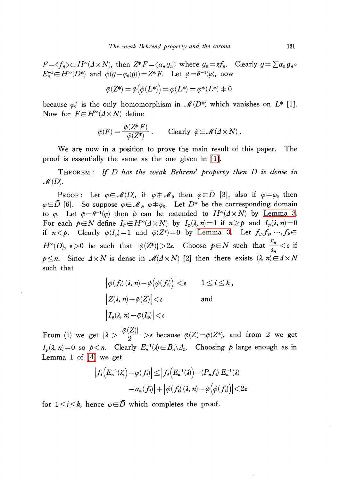$F=\langle f_{n}\rangle\in H^{\infty}(\Delta\times N)$ , then  $Z^{*}F=\langle\alpha_{n}g_{n}\rangle$  where  $g_{n}=zf_{n}$ . Clearly  $g=\sum\alpha_{n}g_{n}\circ$  $E_{n}^{-1}\!\!\in\! H^{\infty}(D^{*})$  and  $\bar{\phi}(g-\varphi_{0}(g))\!=\!Z^{*}F$ . Let  $\tilde{\varphi}\!=\!\theta^{-1}(\varphi)$ , now

$$
\tilde{\varphi}(Z^*)=\tilde{\varphi}\big(\bar{\phi}(L^*)\big)=\varphi(L^*)=\varphi^*(L^*)=0
$$

because  $\varphi_{0}^{*}$  is the only homomorphism in  $\mathcal{M}(D^{*})$  which vanishes on  $L^{*}[1]$ . Now for  $F \in H^{\infty}(\Delta \times N)$  define

$$
\tilde{\varphi}(F) = \frac{\tilde{\varphi}(Z^*F)}{\tilde{\varphi}(Z^*)} \ . \qquad \text{Clearly } \tilde{\varphi} \in \mathscr{M}(\varDelta \times N) \ .
$$

We are now in a position to prove the main result of this paper. The proof is essentially the same as the one given in [\[1\].](#page-3-2)

THEOREM: If  $D$  has the weak Behrens' property then  $D$  is dense in  $\mathscr{M}(D)$ .

Proof: Let  $\varphi\!\in\!\mathscr{M}(D)$ , if  $\varphi\!\in\!\mathscr{M}_{0}$  then  $\varphi\!\in\!D$  [3], also if  $\varphi\!=\!\varphi_{0}$  then  $\varphi\!\in\!\bar{D}$  [6]. So suppose  $\varphi\!\in\!\mathscr{M}_{0}$ ,  $\varphi\!\mp\!\varphi_{0}$ . Let  $D^{*}$  be the corresponding domain to  $\varphi$ . Let  $\tilde{\varphi}=\theta^{-1}(\varphi)$  then  $\tilde{\varphi}$  can be extended to  $H^{\infty}(\Delta\times N)$  by [Lemma](#page-1-0) 3. For each  $p\in N$  define  $I_{p}\in H^{\infty}(\Delta\times N)$  by  $I_{p}(\lambda, n)=1$  if  $n\geq p$  and  $I_{p}(\lambda, n)=0$ if  $n < p$ . Clearly  $\tilde{\varphi}(I_{p})=1$  and  $\tilde{\varphi}(Z^{*})\neq 0$  by [Lemma](#page-1-0) 3. Let  $f_{1},f_{2}, \ldots,f_{k}\in$  $H^{\infty}(D)$ ,  $\varepsilon>0$  be such that  $|\tilde{\varphi}(Z^{*})|>2\varepsilon$ . Choose  $p\in N$  such that  $\frac{m}{s}<\varepsilon$  if  $p\leq n$ . Since  $\Delta\times N$  is dense in  $\mathcal{M}(\Delta\times N)$  [2] then there exists  $(\lambda, n)\in\Delta\times N$ such that

$$
\left|\phi(f_i)(\lambda, n) - \tilde{\varphi}(\phi(f_i))\right| < \varepsilon \qquad 1 \le i \le k,
$$
  
\n
$$
\left|Z(\lambda, n) - \tilde{\varphi}(Z)\right| < \varepsilon \qquad \text{and}
$$
  
\n
$$
\left|I_p(\lambda, n) - \tilde{\varphi}(I_p)\right| < \varepsilon
$$

From (1) we get  $|\lambda|>\frac{|\psi(Z)|}{2}>\varepsilon$  because  $\tilde{\varphi}(Z)=\tilde{\varphi}(Z^{*})$ , and from 2 we get  $I_{p}(\lambda, n)=0$  so  $p < n$ . Clearly  $E_{n}^{-1}(\lambda) \in B_{n}\setminus A_{n}$ . Choosing p large enough as in Lemma <sup>1</sup> of [\[4\]](#page-3-3) we get

$$
\begin{aligned} \left|f_i\!\left(E_n^{-1}(\lambda)\right)\!-\!\varphi(f_i)\right| \!\leq\! \left|f_i\!\left(E_n^{-1}(\lambda)\right)\!-\! \left(P_nf_i\right)E_n^{-1}(\lambda) \right. \\ \left.-a_n(f_i)\right|+\left|\phi(f_i)\left(\lambda,\,n\right)\!-\!\tilde{\varphi}\!\left(\phi(f_i)\right)\right| \!\!<\! 2\varepsilon \end{aligned}
$$

for  $1\leq i\leq k$ , hence  $\varphi\in\overline{D}$  which completes the proof.